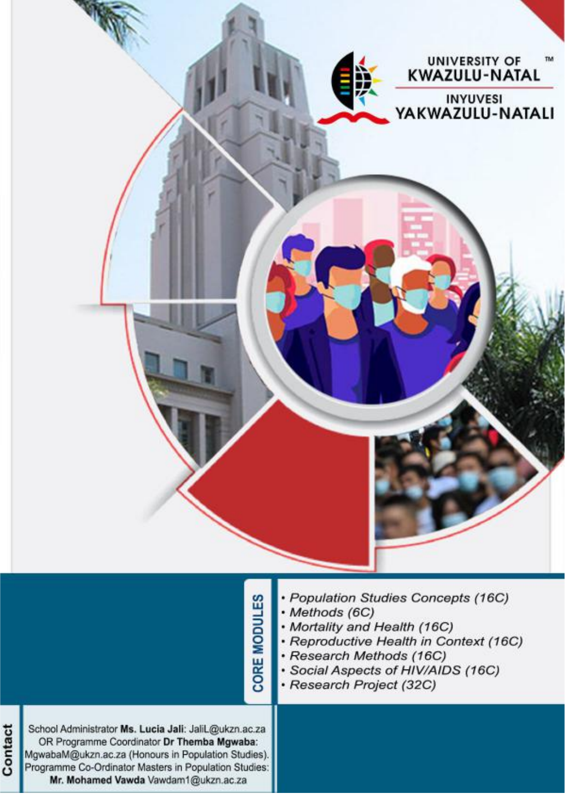

|                                                                                                                                                                                                                                                             | <b>MODULES</b><br>CORE | · Population Studies Concepts (16C)<br>· Methods (6C)<br>• Mortality and Health (16C)<br>· Reproductive Health in Context (16C)<br>· Research Methods (16C)<br>· Social Aspects of HIV/AIDS (16C)<br>· Research Project (32C) |
|-------------------------------------------------------------------------------------------------------------------------------------------------------------------------------------------------------------------------------------------------------------|------------------------|-------------------------------------------------------------------------------------------------------------------------------------------------------------------------------------------------------------------------------|
| School Administrator Ms. Lucia Jali: JaliL@ukzn.ac.za<br>OR Programme Coordinator Dr Themba Mgwaba:<br>MgwabaM@ukzn.ac.za (Honours in Population Studies).<br>Programme Co-Ordinator Masters in Population Studies:<br>Mr. Mohamed Vawda Vawdam1@ukzn.ac.za |                        |                                                                                                                                                                                                                               |

Contact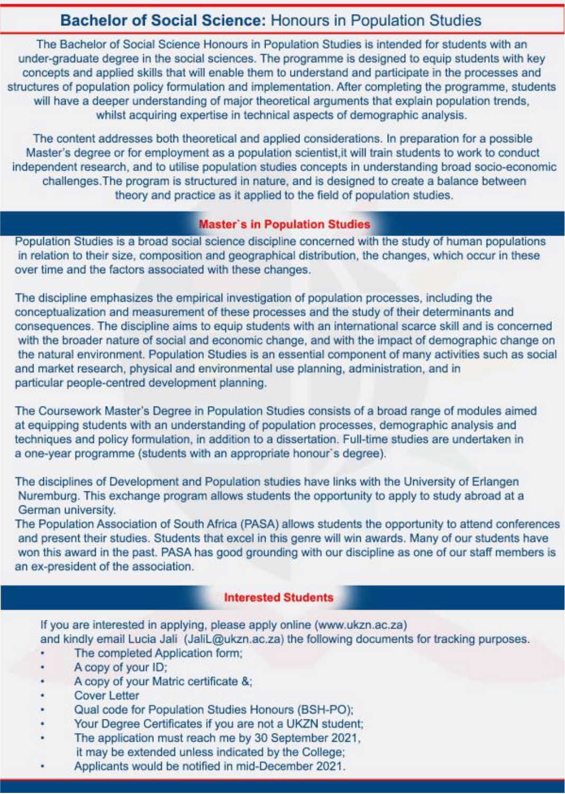### **Bachelor of Social Science: Honours in Population Studies**

The Bachelor of Social Science Honours in Population Studies is intended for students with an under-graduate degree in the social sciences. The programme is designed to equip students with key concepts and applied skills that will enable them to understand and participate in the processes and structures of population policy formulation and implementation. After completing the programme, students will have a deeper understanding of major theoretical arguments that explain population trends. whilst acquiring expertise in technical aspects of demographic analysis.

The content addresses both theoretical and applied considerations. In preparation for a possible Master's degree or for employment as a population scientist, it will train students to work to conduct independent research, and to utilise population studies concepts in understanding broad socio-economic challenges. The program is structured in nature, and is designed to create a balance between theory and practice as it applied to the field of population studies.

#### **Master's in Population Studies**

Population Studies is a broad social science discipline concerned with the study of human populations in relation to their size, composition and geographical distribution, the changes, which occur in these over time and the factors associated with these changes.

The discipline emphasizes the empirical investigation of population processes, including the conceptualization and measurement of these processes and the study of their determinants and consequences. The discipline aims to equip students with an international scarce skill and is concerned with the broader nature of social and economic change, and with the impact of demographic change on the natural environment. Population Studies is an essential component of many activities such as social and market research, physical and environmental use planning, administration, and in particular people-centred development planning.

The Coursework Master's Degree in Population Studies consists of a broad range of modules aimed at equipping students with an understanding of population processes, demographic analysis and techniques and policy formulation, in addition to a dissertation. Full-time studies are undertaken in a one-year programme (students with an appropriate honour's degree).

The disciplines of Development and Population studies have links with the University of Erlangen Nuremburg. This exchange program allows students the opportunity to apply to study abroad at a German university.

The Population Association of South Africa (PASA) allows students the opportunity to attend conferences and present their studies. Students that excel in this genre will win awards. Many of our students have won this award in the past. PASA has good grounding with our discipline as one of our staff members is an ex-president of the association.

#### **Interested Students**

If you are interested in applying, please apply online (www.ukzn.ac.za) and kindly email Lucia Jali (JaliL@ukzn.ac.za) the following documents for tracking purposes.

- The completed Application form;
- A copy of your ID;
- A copy of your Matric certificate &;
- **Cover Letter**
- Qual code for Population Studies Honours (BSH-PO);
- Your Degree Certificates if you are not a UKZN student;
- The application must reach me by 30 September 2021, it may be extended unless indicated by the College:
- Applicants would be notified in mid-December 2021.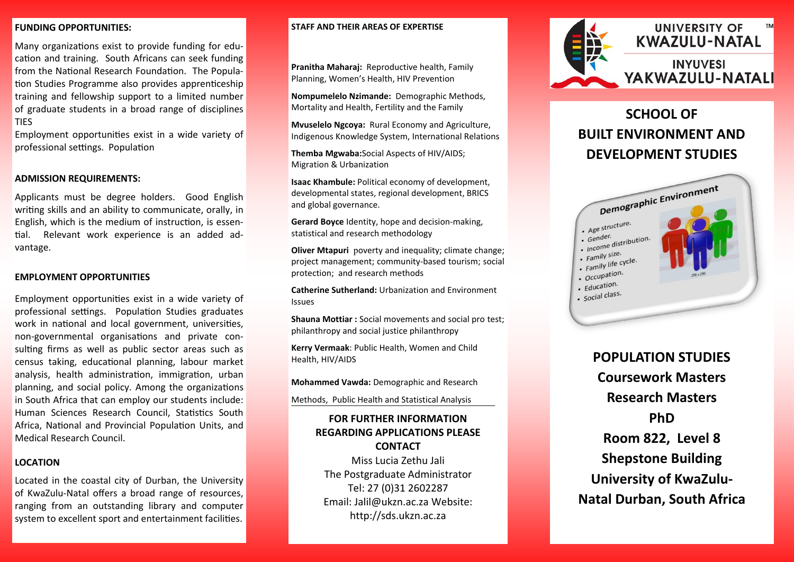### **FUNDING OPPORTUNITIES:**

Many organizations exist to provide funding for education and training. South Africans can seek funding from the National Research Foundation. The Population Studies Programme also provides apprenticeship training and fellowship support to a limited number of graduate students in a broad range of disciplines **TIES** 

Employment opportunities exist in a wide variety of professional settings. Population

### **ADMISSION REQUIREMENTS:**

Applicants must be degree holders. Good English writing skills and an ability to communicate, orally, in English, which is the medium of instruction, is essential. Relevant work experience is an added advantage.

### **EMPLOYMENT OPPORTUNITIES**

Employment opportunities exist in a wide variety of professional settings. Population Studies graduates work in national and local government, universities, non-governmental organisations and private consulting firms as well as public sector areas such as census taking, educational planning, labour market analysis, health administration, immigration, urban planning, and social policy. Among the organizations in South Africa that can employ our students include: Human Sciences Research Council, Statistics South Africa, National and Provincial Population Units, and Medical Research Council.

## **LOCATION**

Located in the coastal city of Durban, the University of KwaZulu-Natal offers a broad range of resources, ranging from an outstanding library and computer system to excellent sport and entertainment facilities.

### **STAFF AND THEIR AREAS OF EXPERTISE**

**Pranitha Maharaj:** Reproductive health, Family Planning, Women's Health, HIV Prevention

**Nompumelelo Nzimande:** Demographic Methods, Mortality and Health, Fertility and the Family

**Mvuselelo Ngcoya:** Rural Economy and Agriculture, Indigenous Knowledge System, International Relations

**Themba Mgwaba:**Social Aspects of HIV/AIDS; Migration & Urbanization

**Isaac Khambule:** Political economy of development, developmental states, regional development, BRICS and global governance.

**Gerard Boyce** Identity, hope and decision-making, statistical and research methodology

**Oliver Mtapuri** poverty and inequality; climate change; project management; community-based tourism; social protection; and research methods

**Catherine Sutherland:** Urbanization and Environment Issues

**Shauna Mottiar :** Social movements and social pro test; philanthropy and social justice philanthropy

**Kerry Vermaak**: Public Health, Women and Child Health, HIV/AIDS

**Mohammed Vawda:** Demographic and Research

Methods, Public Health and Statistical Analysis

## **FOR FURTHER INFORMATION REGARDING APPLICATIONS PLEASE CONTACT**

Miss Lucia Zethu Jali The Postgraduate Administrator Tel: 27 (0)31 2602287 Email: Jalil@ukzn.ac.za Website: http://sds.ukzn.ac.za



# **SCHOOL OF BUILT ENVIRONMENT AND DEVELOPMENT STUDIES**



**POPULATION STUDIES Coursework Masters Research Masters PhD Room 822, Level 8 Shepstone Building University of KwaZulu-Natal Durban, South Africa**